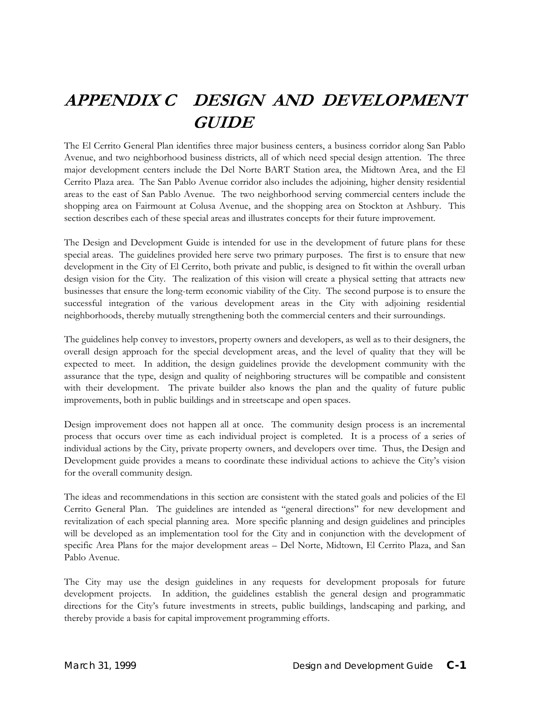# **APPENDIX C DESIGN AND DEVELOPMENT GUIDE**

The El Cerrito General Plan identifies three major business centers, a business corridor along San Pablo Avenue, and two neighborhood business districts, all of which need special design attention. The three major development centers include the Del Norte BART Station area, the Midtown Area, and the El Cerrito Plaza area. The San Pablo Avenue corridor also includes the adjoining, higher density residential areas to the east of San Pablo Avenue. The two neighborhood serving commercial centers include the shopping area on Fairmount at Colusa Avenue, and the shopping area on Stockton at Ashbury. This section describes each of these special areas and illustrates concepts for their future improvement.

The Design and Development Guide is intended for use in the development of future plans for these special areas. The guidelines provided here serve two primary purposes. The first is to ensure that new development in the City of El Cerrito, both private and public, is designed to fit within the overall urban design vision for the City. The realization of this vision will create a physical setting that attracts new businesses that ensure the long-term economic viability of the City. The second purpose is to ensure the successful integration of the various development areas in the City with adjoining residential neighborhoods, thereby mutually strengthening both the commercial centers and their surroundings.

The guidelines help convey to investors, property owners and developers, as well as to their designers, the overall design approach for the special development areas, and the level of quality that they will be expected to meet. In addition, the design guidelines provide the development community with the assurance that the type, design and quality of neighboring structures will be compatible and consistent with their development. The private builder also knows the plan and the quality of future public improvements, both in public buildings and in streetscape and open spaces.

Design improvement does not happen all at once. The community design process is an incremental process that occurs over time as each individual project is completed. It is a process of a series of individual actions by the City, private property owners, and developers over time. Thus, the Design and Development guide provides a means to coordinate these individual actions to achieve the City's vision for the overall community design.

The ideas and recommendations in this section are consistent with the stated goals and policies of the El Cerrito General Plan. The guidelines are intended as "general directions" for new development and revitalization of each special planning area. More specific planning and design guidelines and principles will be developed as an implementation tool for the City and in conjunction with the development of specific Area Plans for the major development areas – Del Norte, Midtown, El Cerrito Plaza, and San Pablo Avenue.

The City may use the design guidelines in any requests for development proposals for future development projects. In addition, the guidelines establish the general design and programmatic directions for the City's future investments in streets, public buildings, landscaping and parking, and thereby provide a basis for capital improvement programming efforts.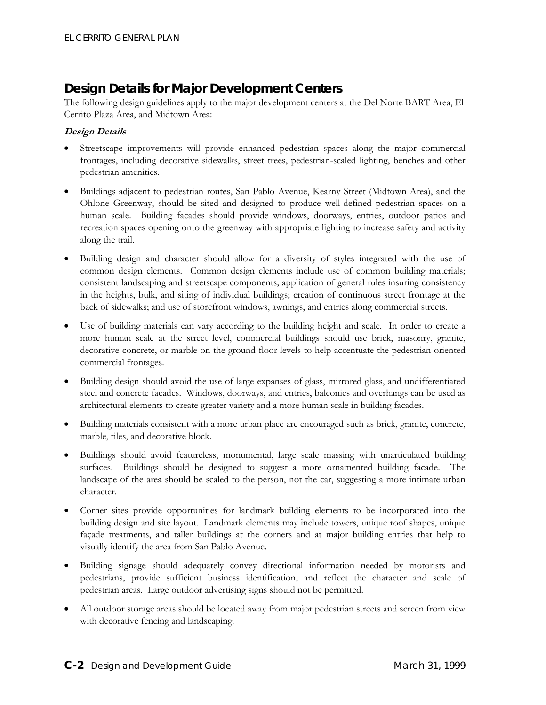### **Design Details for Major Development Centers**

The following design guidelines apply to the major development centers at the Del Norte BART Area, El Cerrito Plaza Area, and Midtown Area:

#### **Design Details**

- Streetscape improvements will provide enhanced pedestrian spaces along the major commercial frontages, including decorative sidewalks, street trees, pedestrian-scaled lighting, benches and other pedestrian amenities.
- Buildings adjacent to pedestrian routes, San Pablo Avenue, Kearny Street (Midtown Area), and the Ohlone Greenway, should be sited and designed to produce well-defined pedestrian spaces on a human scale. Building facades should provide windows, doorways, entries, outdoor patios and recreation spaces opening onto the greenway with appropriate lighting to increase safety and activity along the trail.
- Building design and character should allow for a diversity of styles integrated with the use of common design elements. Common design elements include use of common building materials; consistent landscaping and streetscape components; application of general rules insuring consistency in the heights, bulk, and siting of individual buildings; creation of continuous street frontage at the back of sidewalks; and use of storefront windows, awnings, and entries along commercial streets.
- Use of building materials can vary according to the building height and scale. In order to create a more human scale at the street level, commercial buildings should use brick, masonry, granite, decorative concrete, or marble on the ground floor levels to help accentuate the pedestrian oriented commercial frontages.
- Building design should avoid the use of large expanses of glass, mirrored glass, and undifferentiated steel and concrete facades. Windows, doorways, and entries, balconies and overhangs can be used as architectural elements to create greater variety and a more human scale in building facades.
- Building materials consistent with a more urban place are encouraged such as brick, granite, concrete, marble, tiles, and decorative block.
- Buildings should avoid featureless, monumental, large scale massing with unarticulated building surfaces. Buildings should be designed to suggest a more ornamented building facade. The landscape of the area should be scaled to the person, not the car, suggesting a more intimate urban character.
- Corner sites provide opportunities for landmark building elements to be incorporated into the building design and site layout. Landmark elements may include towers, unique roof shapes, unique façade treatments, and taller buildings at the corners and at major building entries that help to visually identify the area from San Pablo Avenue.
- Building signage should adequately convey directional information needed by motorists and pedestrians, provide sufficient business identification, and reflect the character and scale of pedestrian areas. Large outdoor advertising signs should not be permitted.
- All outdoor storage areas should be located away from major pedestrian streets and screen from view with decorative fencing and landscaping.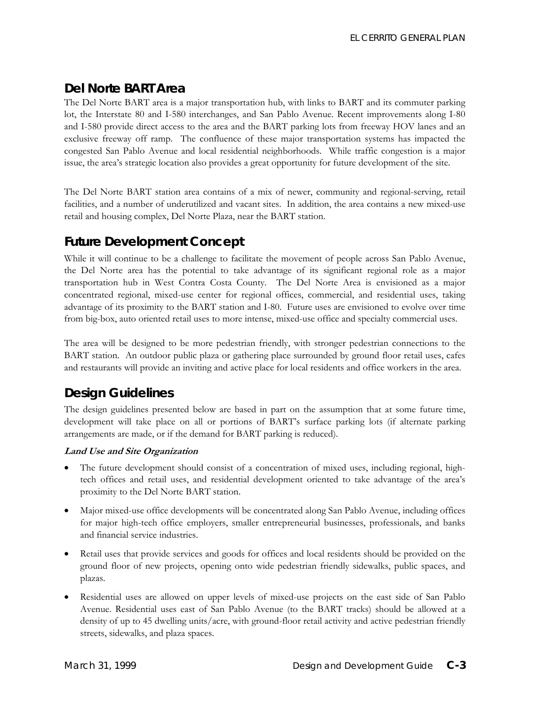# **Del Norte BART Area**

The Del Norte BART area is a major transportation hub, with links to BART and its commuter parking lot, the Interstate 80 and I-580 interchanges, and San Pablo Avenue. Recent improvements along I-80 and I-580 provide direct access to the area and the BART parking lots from freeway HOV lanes and an exclusive freeway off ramp. The confluence of these major transportation systems has impacted the congested San Pablo Avenue and local residential neighborhoods. While traffic congestion is a major issue, the area's strategic location also provides a great opportunity for future development of the site.

The Del Norte BART station area contains of a mix of newer, community and regional-serving, retail facilities, and a number of underutilized and vacant sites. In addition, the area contains a new mixed-use retail and housing complex, Del Norte Plaza, near the BART station.

# *Future Development Concept*

While it will continue to be a challenge to facilitate the movement of people across San Pablo Avenue, the Del Norte area has the potential to take advantage of its significant regional role as a major transportation hub in West Contra Costa County. The Del Norte Area is envisioned as a major concentrated regional, mixed-use center for regional offices, commercial, and residential uses, taking advantage of its proximity to the BART station and I-80. Future uses are envisioned to evolve over time from big-box, auto oriented retail uses to more intense, mixed-use office and specialty commercial uses.

The area will be designed to be more pedestrian friendly, with stronger pedestrian connections to the BART station. An outdoor public plaza or gathering place surrounded by ground floor retail uses, cafes and restaurants will provide an inviting and active place for local residents and office workers in the area.

# *Design Guidelines*

The design guidelines presented below are based in part on the assumption that at some future time, development will take place on all or portions of BART's surface parking lots (if alternate parking arrangements are made, or if the demand for BART parking is reduced).

#### **Land Use and Site Organization**

- The future development should consist of a concentration of mixed uses, including regional, hightech offices and retail uses, and residential development oriented to take advantage of the area's proximity to the Del Norte BART station.
- Major mixed-use office developments will be concentrated along San Pablo Avenue, including offices for major high-tech office employers, smaller entrepreneurial businesses, professionals, and banks and financial service industries.
- Retail uses that provide services and goods for offices and local residents should be provided on the ground floor of new projects, opening onto wide pedestrian friendly sidewalks, public spaces, and plazas.
- Residential uses are allowed on upper levels of mixed-use projects on the east side of San Pablo Avenue. Residential uses east of San Pablo Avenue (to the BART tracks) should be allowed at a density of up to 45 dwelling units/acre, with ground-floor retail activity and active pedestrian friendly streets, sidewalks, and plaza spaces.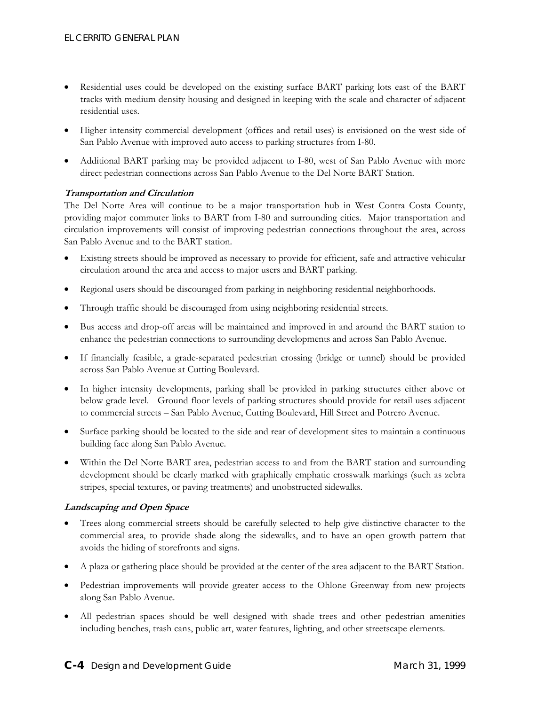- Residential uses could be developed on the existing surface BART parking lots east of the BART tracks with medium density housing and designed in keeping with the scale and character of adjacent residential uses.
- Higher intensity commercial development (offices and retail uses) is envisioned on the west side of San Pablo Avenue with improved auto access to parking structures from I-80.
- Additional BART parking may be provided adjacent to I-80, west of San Pablo Avenue with more direct pedestrian connections across San Pablo Avenue to the Del Norte BART Station.

#### **Transportation and Circulation**

The Del Norte Area will continue to be a major transportation hub in West Contra Costa County, providing major commuter links to BART from I-80 and surrounding cities. Major transportation and circulation improvements will consist of improving pedestrian connections throughout the area, across San Pablo Avenue and to the BART station.

- Existing streets should be improved as necessary to provide for efficient, safe and attractive vehicular circulation around the area and access to major users and BART parking.
- Regional users should be discouraged from parking in neighboring residential neighborhoods.
- Through traffic should be discouraged from using neighboring residential streets.
- Bus access and drop-off areas will be maintained and improved in and around the BART station to enhance the pedestrian connections to surrounding developments and across San Pablo Avenue.
- If financially feasible, a grade-separated pedestrian crossing (bridge or tunnel) should be provided across San Pablo Avenue at Cutting Boulevard.
- In higher intensity developments, parking shall be provided in parking structures either above or below grade level. Ground floor levels of parking structures should provide for retail uses adjacent to commercial streets – San Pablo Avenue, Cutting Boulevard, Hill Street and Potrero Avenue.
- Surface parking should be located to the side and rear of development sites to maintain a continuous building face along San Pablo Avenue.
- Within the Del Norte BART area, pedestrian access to and from the BART station and surrounding development should be clearly marked with graphically emphatic crosswalk markings (such as zebra stripes, special textures, or paving treatments) and unobstructed sidewalks.

#### **Landscaping and Open Space**

- Trees along commercial streets should be carefully selected to help give distinctive character to the commercial area, to provide shade along the sidewalks, and to have an open growth pattern that avoids the hiding of storefronts and signs.
- A plaza or gathering place should be provided at the center of the area adjacent to the BART Station.
- Pedestrian improvements will provide greater access to the Ohlone Greenway from new projects along San Pablo Avenue.
- All pedestrian spaces should be well designed with shade trees and other pedestrian amenities including benches, trash cans, public art, water features, lighting, and other streetscape elements.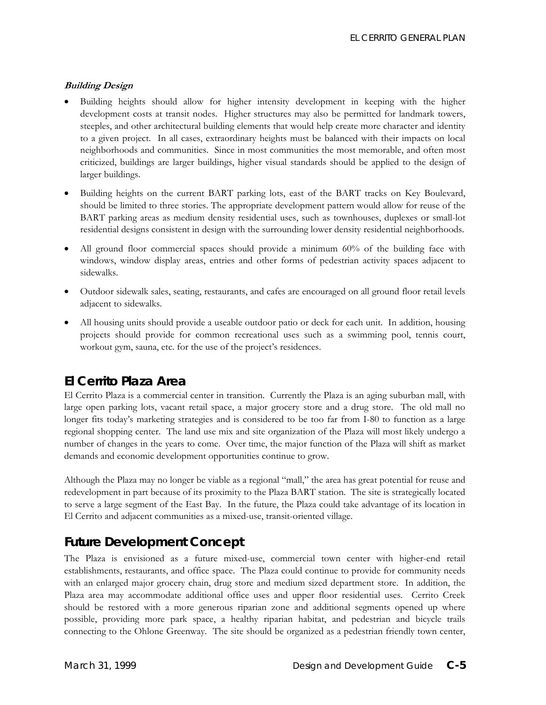#### **Building Design**

- Building heights should allow for higher intensity development in keeping with the higher development costs at transit nodes. Higher structures may also be permitted for landmark towers, steeples, and other architectural building elements that would help create more character and identity to a given project. In all cases, extraordinary heights must be balanced with their impacts on local neighborhoods and communities. Since in most communities the most memorable, and often most criticized, buildings are larger buildings, higher visual standards should be applied to the design of larger buildings.
- Building heights on the current BART parking lots, east of the BART tracks on Key Boulevard, should be limited to three stories. The appropriate development pattern would allow for reuse of the BART parking areas as medium density residential uses, such as townhouses, duplexes or small-lot residential designs consistent in design with the surrounding lower density residential neighborhoods.
- All ground floor commercial spaces should provide a minimum 60% of the building face with windows, window display areas, entries and other forms of pedestrian activity spaces adjacent to sidewalks.
- Outdoor sidewalk sales, seating, restaurants, and cafes are encouraged on all ground floor retail levels adjacent to sidewalks.
- All housing units should provide a useable outdoor patio or deck for each unit. In addition, housing projects should provide for common recreational uses such as a swimming pool, tennis court, workout gym, sauna, etc. for the use of the project's residences.

### **El Cerrito Plaza Area**

El Cerrito Plaza is a commercial center in transition. Currently the Plaza is an aging suburban mall, with large open parking lots, vacant retail space, a major grocery store and a drug store. The old mall no longer fits today's marketing strategies and is considered to be too far from I-80 to function as a large regional shopping center. The land use mix and site organization of the Plaza will most likely undergo a number of changes in the years to come. Over time, the major function of the Plaza will shift as market demands and economic development opportunities continue to grow.

Although the Plaza may no longer be viable as a regional "mall," the area has great potential for reuse and redevelopment in part because of its proximity to the Plaza BART station. The site is strategically located to serve a large segment of the East Bay. In the future, the Plaza could take advantage of its location in El Cerrito and adjacent communities as a mixed-use, transit-oriented village.

# *Future Development Concept*

The Plaza is envisioned as a future mixed-use, commercial town center with higher-end retail establishments, restaurants, and office space. The Plaza could continue to provide for community needs with an enlarged major grocery chain, drug store and medium sized department store. In addition, the Plaza area may accommodate additional office uses and upper floor residential uses. Cerrito Creek should be restored with a more generous riparian zone and additional segments opened up where possible, providing more park space, a healthy riparian habitat, and pedestrian and bicycle trails connecting to the Ohlone Greenway. The site should be organized as a pedestrian friendly town center,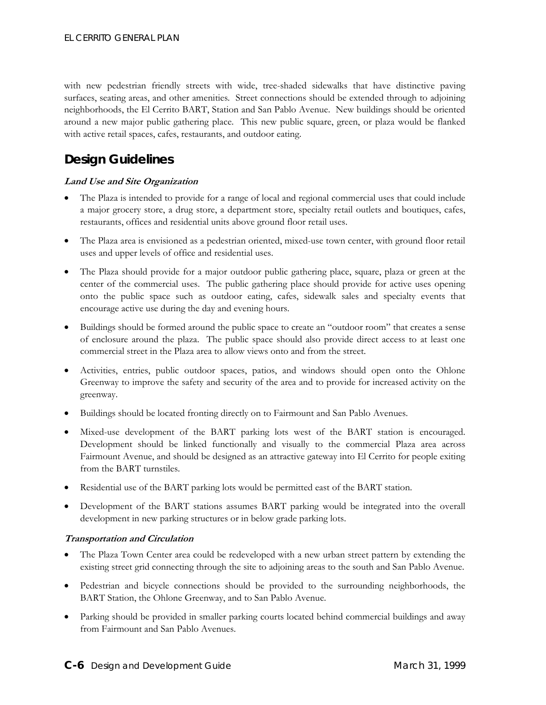with new pedestrian friendly streets with wide, tree-shaded sidewalks that have distinctive paving surfaces, seating areas, and other amenities*.* Street connections should be extended through to adjoining neighborhoods, the El Cerrito BART, Station and San Pablo Avenue. New buildings should be oriented around a new major public gathering place. This new public square, green, or plaza would be flanked with active retail spaces, cafes, restaurants, and outdoor eating.

# *Design Guidelines*

#### **Land Use and Site Organization**

- The Plaza is intended to provide for a range of local and regional commercial uses that could include a major grocery store, a drug store, a department store, specialty retail outlets and boutiques, cafes, restaurants, offices and residential units above ground floor retail uses.
- The Plaza area is envisioned as a pedestrian oriented, mixed-use town center, with ground floor retail uses and upper levels of office and residential uses.
- The Plaza should provide for a major outdoor public gathering place, square, plaza or green at the center of the commercial uses. The public gathering place should provide for active uses opening onto the public space such as outdoor eating, cafes, sidewalk sales and specialty events that encourage active use during the day and evening hours.
- Buildings should be formed around the public space to create an "outdoor room" that creates a sense of enclosure around the plaza. The public space should also provide direct access to at least one commercial street in the Plaza area to allow views onto and from the street.
- Activities, entries, public outdoor spaces, patios, and windows should open onto the Ohlone Greenway to improve the safety and security of the area and to provide for increased activity on the greenway.
- Buildings should be located fronting directly on to Fairmount and San Pablo Avenues.
- Mixed-use development of the BART parking lots west of the BART station is encouraged. Development should be linked functionally and visually to the commercial Plaza area across Fairmount Avenue, and should be designed as an attractive gateway into El Cerrito for people exiting from the BART turnstiles.
- Residential use of the BART parking lots would be permitted east of the BART station.
- Development of the BART stations assumes BART parking would be integrated into the overall development in new parking structures or in below grade parking lots.

#### **Transportation and Circulation**

- The Plaza Town Center area could be redeveloped with a new urban street pattern by extending the existing street grid connecting through the site to adjoining areas to the south and San Pablo Avenue.
- Pedestrian and bicycle connections should be provided to the surrounding neighborhoods, the BART Station, the Ohlone Greenway, and to San Pablo Avenue.
- Parking should be provided in smaller parking courts located behind commercial buildings and away from Fairmount and San Pablo Avenues.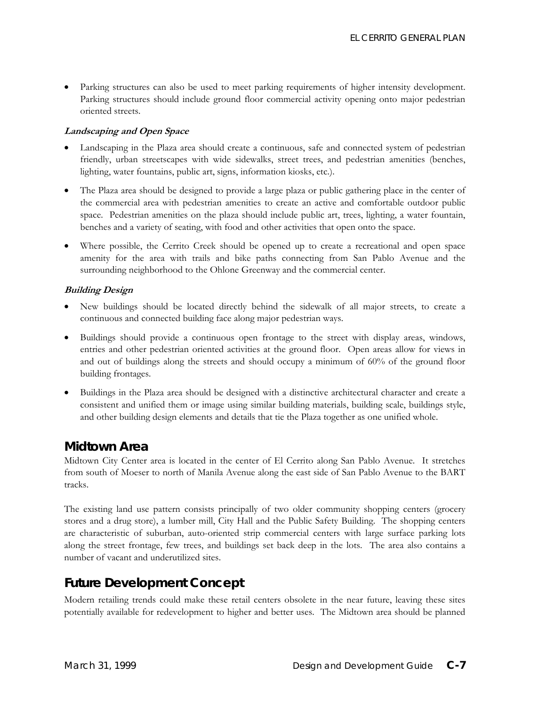• Parking structures can also be used to meet parking requirements of higher intensity development. Parking structures should include ground floor commercial activity opening onto major pedestrian oriented streets.

#### **Landscaping and Open Space**

- Landscaping in the Plaza area should create a continuous, safe and connected system of pedestrian friendly, urban streetscapes with wide sidewalks, street trees, and pedestrian amenities (benches, lighting, water fountains, public art, signs, information kiosks, etc.).
- The Plaza area should be designed to provide a large plaza or public gathering place in the center of the commercial area with pedestrian amenities to create an active and comfortable outdoor public space. Pedestrian amenities on the plaza should include public art, trees, lighting, a water fountain, benches and a variety of seating, with food and other activities that open onto the space.
- Where possible, the Cerrito Creek should be opened up to create a recreational and open space amenity for the area with trails and bike paths connecting from San Pablo Avenue and the surrounding neighborhood to the Ohlone Greenway and the commercial center.

#### **Building Design**

- New buildings should be located directly behind the sidewalk of all major streets, to create a continuous and connected building face along major pedestrian ways.
- Buildings should provide a continuous open frontage to the street with display areas, windows, entries and other pedestrian oriented activities at the ground floor. Open areas allow for views in and out of buildings along the streets and should occupy a minimum of 60% of the ground floor building frontages.
- Buildings in the Plaza area should be designed with a distinctive architectural character and create a consistent and unified them or image using similar building materials, building scale, buildings style, and other building design elements and details that tie the Plaza together as one unified whole.

### **Midtown Area**

Midtown City Center area is located in the center of El Cerrito along San Pablo Avenue. It stretches from south of Moeser to north of Manila Avenue along the east side of San Pablo Avenue to the BART tracks.

The existing land use pattern consists principally of two older community shopping centers (grocery stores and a drug store), a lumber mill, City Hall and the Public Safety Building. The shopping centers are characteristic of suburban, auto-oriented strip commercial centers with large surface parking lots along the street frontage, few trees, and buildings set back deep in the lots. The area also contains a number of vacant and underutilized sites.

### *Future Development Concept*

Modern retailing trends could make these retail centers obsolete in the near future, leaving these sites potentially available for redevelopment to higher and better uses. The Midtown area should be planned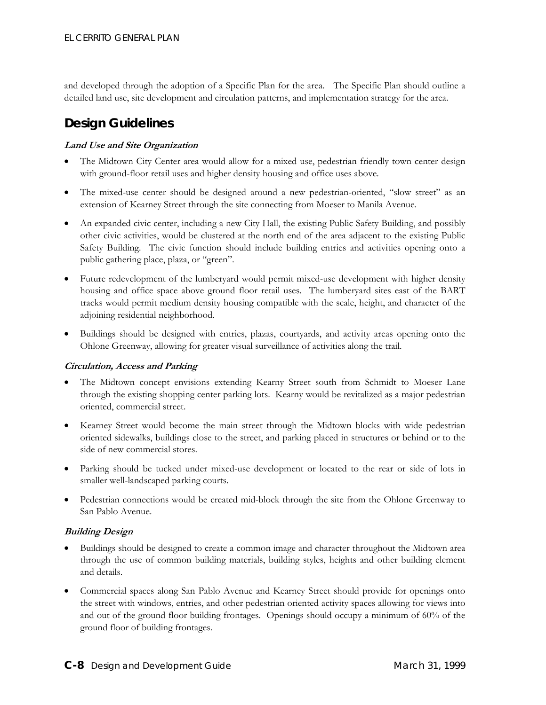and developed through the adoption of a Specific Plan for the area. The Specific Plan should outline a detailed land use, site development and circulation patterns, and implementation strategy for the area.

# *Design Guidelines*

#### **Land Use and Site Organization**

- The Midtown City Center area would allow for a mixed use, pedestrian friendly town center design with ground-floor retail uses and higher density housing and office uses above.
- The mixed-use center should be designed around a new pedestrian-oriented, "slow street" as an extension of Kearney Street through the site connecting from Moeser to Manila Avenue.
- An expanded civic center, including a new City Hall, the existing Public Safety Building, and possibly other civic activities, would be clustered at the north end of the area adjacent to the existing Public Safety Building. The civic function should include building entries and activities opening onto a public gathering place, plaza, or "green".
- Future redevelopment of the lumberyard would permit mixed-use development with higher density housing and office space above ground floor retail uses. The lumberyard sites east of the BART tracks would permit medium density housing compatible with the scale, height, and character of the adjoining residential neighborhood.
- Buildings should be designed with entries, plazas, courtyards, and activity areas opening onto the Ohlone Greenway, allowing for greater visual surveillance of activities along the trail.

#### **Circulation, Access and Parking**

- The Midtown concept envisions extending Kearny Street south from Schmidt to Moeser Lane through the existing shopping center parking lots. Kearny would be revitalized as a major pedestrian oriented, commercial street.
- Kearney Street would become the main street through the Midtown blocks with wide pedestrian oriented sidewalks, buildings close to the street, and parking placed in structures or behind or to the side of new commercial stores.
- Parking should be tucked under mixed-use development or located to the rear or side of lots in smaller well-landscaped parking courts.
- Pedestrian connections would be created mid-block through the site from the Ohlone Greenway to San Pablo Avenue.

#### **Building Design**

- Buildings should be designed to create a common image and character throughout the Midtown area through the use of common building materials, building styles, heights and other building element and details.
- Commercial spaces along San Pablo Avenue and Kearney Street should provide for openings onto the street with windows, entries, and other pedestrian oriented activity spaces allowing for views into and out of the ground floor building frontages. Openings should occupy a minimum of 60% of the ground floor of building frontages.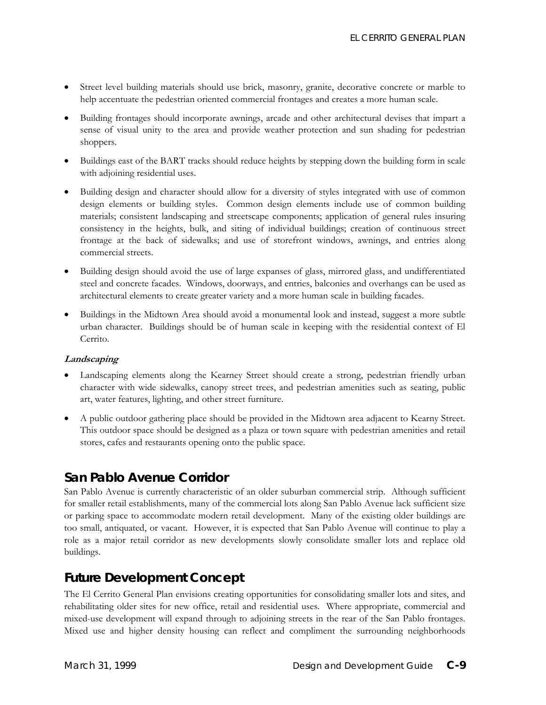- Street level building materials should use brick, masonry, granite, decorative concrete or marble to help accentuate the pedestrian oriented commercial frontages and creates a more human scale.
- Building frontages should incorporate awnings, arcade and other architectural devises that impart a sense of visual unity to the area and provide weather protection and sun shading for pedestrian shoppers.
- Buildings east of the BART tracks should reduce heights by stepping down the building form in scale with adjoining residential uses.
- Building design and character should allow for a diversity of styles integrated with use of common design elements or building styles. Common design elements include use of common building materials; consistent landscaping and streetscape components; application of general rules insuring consistency in the heights, bulk, and siting of individual buildings; creation of continuous street frontage at the back of sidewalks; and use of storefront windows, awnings, and entries along commercial streets.
- Building design should avoid the use of large expanses of glass, mirrored glass, and undifferentiated steel and concrete facades. Windows, doorways, and entries, balconies and overhangs can be used as architectural elements to create greater variety and a more human scale in building facades.
- Buildings in the Midtown Area should avoid a monumental look and instead, suggest a more subtle urban character. Buildings should be of human scale in keeping with the residential context of El Cerrito.

#### **Landscaping**

- Landscaping elements along the Kearney Street should create a strong, pedestrian friendly urban character with wide sidewalks, canopy street trees, and pedestrian amenities such as seating, public art, water features, lighting, and other street furniture.
- A public outdoor gathering place should be provided in the Midtown area adjacent to Kearny Street. This outdoor space should be designed as a plaza or town square with pedestrian amenities and retail stores, cafes and restaurants opening onto the public space.

### **San Pablo Avenue Corridor**

San Pablo Avenue is currently characteristic of an older suburban commercial strip. Although sufficient for smaller retail establishments, many of the commercial lots along San Pablo Avenue lack sufficient size or parking space to accommodate modern retail development. Many of the existing older buildings are too small, antiquated, or vacant. However, it is expected that San Pablo Avenue will continue to play a role as a major retail corridor as new developments slowly consolidate smaller lots and replace old buildings.

### *Future Development Concept*

The El Cerrito General Plan envisions creating opportunities for consolidating smaller lots and sites, and rehabilitating older sites for new office, retail and residential uses. Where appropriate, commercial and mixed-use development will expand through to adjoining streets in the rear of the San Pablo frontages. Mixed use and higher density housing can reflect and compliment the surrounding neighborhoods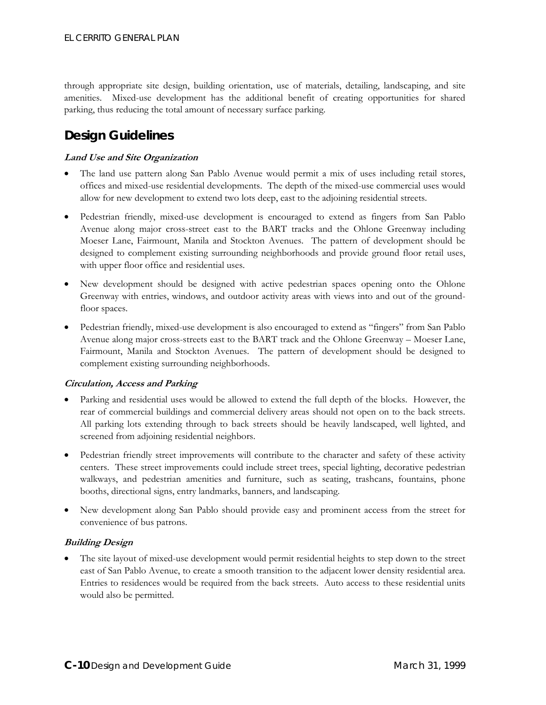through appropriate site design, building orientation, use of materials, detailing, landscaping, and site amenities. Mixed-use development has the additional benefit of creating opportunities for shared parking, thus reducing the total amount of necessary surface parking.

# *Design Guidelines*

#### **Land Use and Site Organization**

- The land use pattern along San Pablo Avenue would permit a mix of uses including retail stores, offices and mixed-use residential developments. The depth of the mixed-use commercial uses would allow for new development to extend two lots deep, east to the adjoining residential streets.
- Pedestrian friendly, mixed-use development is encouraged to extend as fingers from San Pablo Avenue along major cross-street east to the BART tracks and the Ohlone Greenway including Moeser Lane, Fairmount, Manila and Stockton Avenues. The pattern of development should be designed to complement existing surrounding neighborhoods and provide ground floor retail uses, with upper floor office and residential uses.
- New development should be designed with active pedestrian spaces opening onto the Ohlone Greenway with entries, windows, and outdoor activity areas with views into and out of the groundfloor spaces.
- Pedestrian friendly, mixed-use development is also encouraged to extend as "fingers" from San Pablo Avenue along major cross-streets east to the BART track and the Ohlone Greenway – Moeser Lane, Fairmount, Manila and Stockton Avenues. The pattern of development should be designed to complement existing surrounding neighborhoods.

#### **Circulation, Access and Parking**

- Parking and residential uses would be allowed to extend the full depth of the blocks. However, the rear of commercial buildings and commercial delivery areas should not open on to the back streets. All parking lots extending through to back streets should be heavily landscaped, well lighted, and screened from adjoining residential neighbors.
- Pedestrian friendly street improvements will contribute to the character and safety of these activity centers. These street improvements could include street trees, special lighting, decorative pedestrian walkways, and pedestrian amenities and furniture, such as seating, trashcans, fountains, phone booths, directional signs, entry landmarks, banners, and landscaping.
- New development along San Pablo should provide easy and prominent access from the street for convenience of bus patrons.

#### **Building Design**

The site layout of mixed-use development would permit residential heights to step down to the street east of San Pablo Avenue, to create a smooth transition to the adjacent lower density residential area. Entries to residences would be required from the back streets. Auto access to these residential units would also be permitted.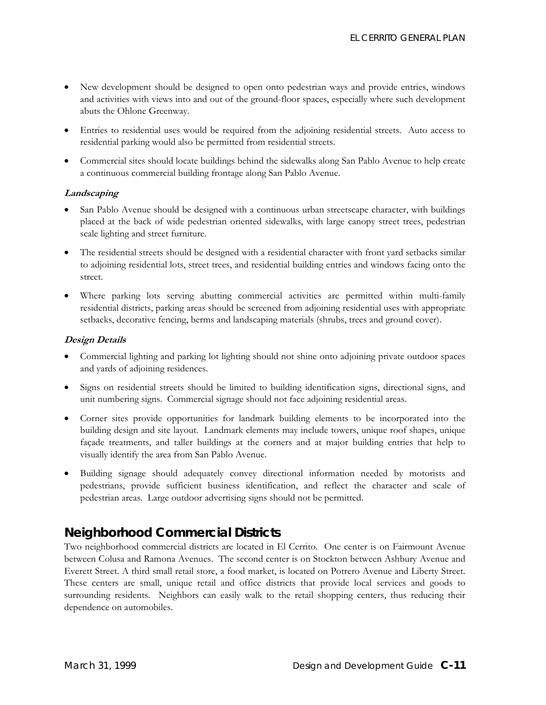- New development should be designed to open onto pedestrian ways and provide entries, windows and activities with views into and out of the ground-floor spaces, especially where such development abuts the Ohlone Greenway.
- Entries to residential uses would be required from the adjoining residential streets. Auto access to residential parking would also be permitted from residential streets.
- Commercial sites should locate buildings behind the sidewalks along San Pablo Avenue to help create a continuous commercial building frontage along San Pablo Avenue.

#### **Landscaping**

- San Pablo Avenue should be designed with a continuous urban streetscape character, with buildings placed at the back of wide pedestrian oriented sidewalks, with large canopy street trees, pedestrian scale lighting and street furniture.
- The residential streets should be designed with a residential character with front yard setbacks similar to adjoining residential lots, street trees, and residential building entries and windows facing onto the street.
- Where parking lots serving abutting commercial activities are permitted within multi-family residential districts, parking areas should be screened from adjoining residential uses with appropriate setbacks, decorative fencing, berms and landscaping materials (shrubs, trees and ground cover).

#### **Design Details**

- Commercial lighting and parking lot lighting should not shine onto adjoining private outdoor spaces and yards of adjoining residences.
- Signs on residential streets should be limited to building identification signs, directional signs, and unit numbering signs. Commercial signage should not face adjoining residential areas.
- Corner sites provide opportunities for landmark building elements to be incorporated into the building design and site layout. Landmark elements may include towers, unique roof shapes, unique façade treatments, and taller buildings at the corners and at major building entries that help to visually identify the area from San Pablo Avenue.
- Building signage should adequately convey directional information needed by motorists and pedestrians, provide sufficient business identification, and reflect the character and scale of pedestrian areas. Large outdoor advertising signs should not be permitted.

### **Neighborhood Commercial Districts**

Two neighborhood commercial districts are located in El Cerrito. One center is on Fairmount Avenue between Colusa and Ramona Avenues. The second center is on Stockton between Ashbury Avenue and Everett Street. A third small retail store, a food market, is located on Potrero Avenue and Liberty Street. These centers are small, unique retail and office districts that provide local services and goods to surrounding residents. Neighbors can easily walk to the retail shopping centers, thus reducing their dependence on automobiles.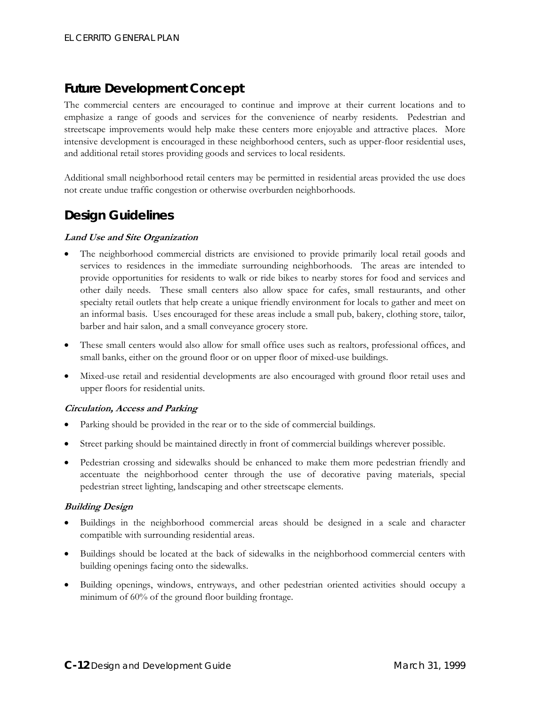# *Future Development Concept*

The commercial centers are encouraged to continue and improve at their current locations and to emphasize a range of goods and services for the convenience of nearby residents. Pedestrian and streetscape improvements would help make these centers more enjoyable and attractive places. More intensive development is encouraged in these neighborhood centers, such as upper-floor residential uses, and additional retail stores providing goods and services to local residents.

Additional small neighborhood retail centers may be permitted in residential areas provided the use does not create undue traffic congestion or otherwise overburden neighborhoods.

### *Design Guidelines*

#### **Land Use and Site Organization**

- The neighborhood commercial districts are envisioned to provide primarily local retail goods and services to residences in the immediate surrounding neighborhoods. The areas are intended to provide opportunities for residents to walk or ride bikes to nearby stores for food and services and other daily needs. These small centers also allow space for cafes, small restaurants, and other specialty retail outlets that help create a unique friendly environment for locals to gather and meet on an informal basis. Uses encouraged for these areas include a small pub, bakery, clothing store, tailor, barber and hair salon, and a small conveyance grocery store.
- These small centers would also allow for small office uses such as realtors, professional offices, and small banks, either on the ground floor or on upper floor of mixed-use buildings.
- Mixed-use retail and residential developments are also encouraged with ground floor retail uses and upper floors for residential units.

#### **Circulation, Access and Parking**

- Parking should be provided in the rear or to the side of commercial buildings.
- Street parking should be maintained directly in front of commercial buildings wherever possible.
- Pedestrian crossing and sidewalks should be enhanced to make them more pedestrian friendly and accentuate the neighborhood center through the use of decorative paving materials, special pedestrian street lighting, landscaping and other streetscape elements.

#### **Building Design**

- Buildings in the neighborhood commercial areas should be designed in a scale and character compatible with surrounding residential areas.
- Buildings should be located at the back of sidewalks in the neighborhood commercial centers with building openings facing onto the sidewalks.
- Building openings, windows, entryways, and other pedestrian oriented activities should occupy a minimum of 60% of the ground floor building frontage.